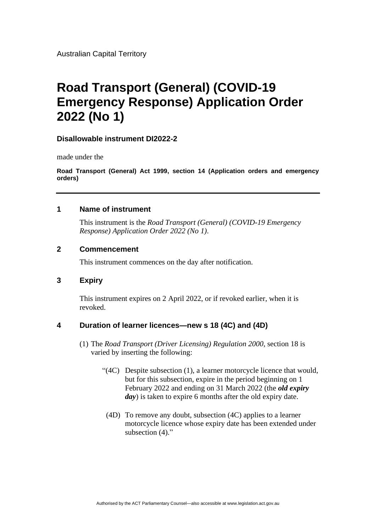Australian Capital Territory

# **Road Transport (General) (COVID-19 Emergency Response) Application Order 2022 (No 1)**

### **Disallowable instrument DI2022-2**

made under the

**Road Transport (General) Act 1999, section 14 (Application orders and emergency orders)**

#### **1 Name of instrument**

This instrument is the *Road Transport (General) (COVID-19 Emergency Response) Application Order 2022 (No 1)*.

### **2 Commencement**

This instrument commences on the day after notification.

## **3 Expiry**

This instrument expires on 2 April 2022, or if revoked earlier, when it is revoked.

## **4 Duration of learner licences—new s 18 (4C) and (4D)**

- (1) The *Road Transport (Driver Licensing) Regulation 2000*, section 18 is varied by inserting the following:
	- "(4C) Despite subsection (1), a learner motorcycle licence that would, but for this subsection, expire in the period beginning on 1 February 2022 and ending on 31 March 2022 (the *old expiry day*) is taken to expire 6 months after the old expiry date.
		- (4D) To remove any doubt, subsection (4C) applies to a learner motorcycle licence whose expiry date has been extended under subsection  $(4)$ ."